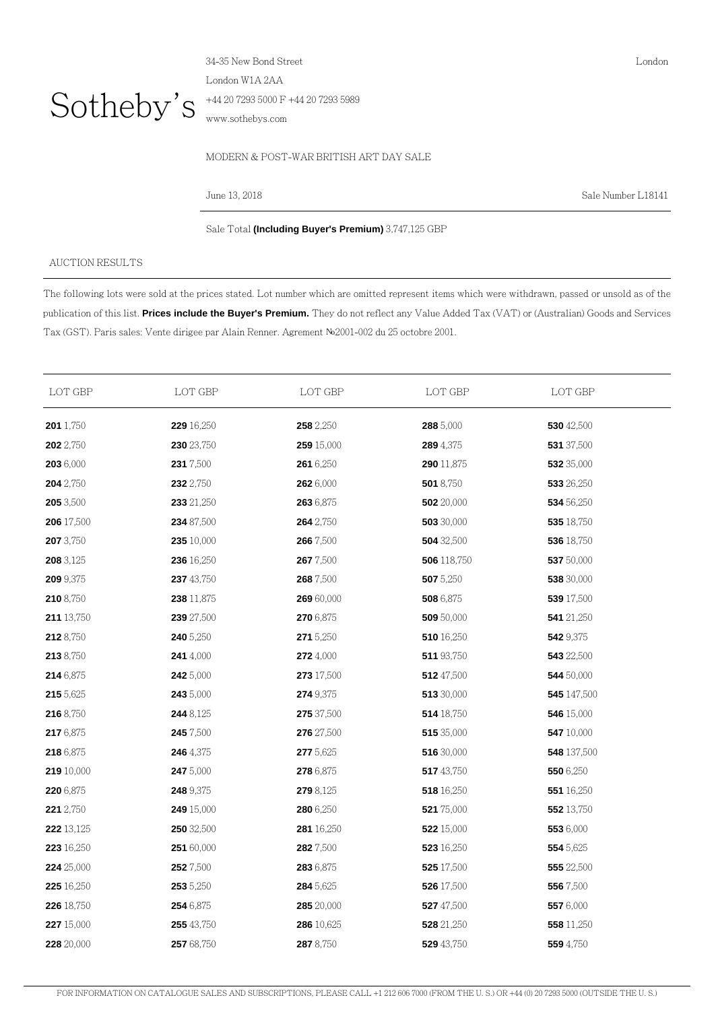

34-35 New Bond Street London W1A 2AA +44 20 7293 5000 F +44 20 7293 5989 www.sothebys.com

## MODERN & POST-WAR BRITISH ART DAY SALE

June 13, 2018 Sale Number L18141

London

Sale Total **(Including Buyer's Premium)** 3,747,125 GBP

## AUCTION RESULTS

The following lots were sold at the prices stated. Lot number which are omitted represent items which were withdrawn, passed or unsold as of the publication of this list. **Prices include the Buyer's Premium.** They do not reflect any Value Added Tax (VAT) or (Australian) Goods and Services Tax (GST). Paris sales: Vente dirigee par Alain Renner. Agrement №2001-002 du 25 octobre 2001.

| LOT GBP          | LOT GBP           | LOT GBP    | LOT GBP     | LOT GBP          |  |
|------------------|-------------------|------------|-------------|------------------|--|
| <b>201</b> 1,750 | 229 16,250        | 258 2,250  | 288 5,000   | 530 42,500       |  |
| 202 2,750        | 230 23,750        | 259 15,000 | 289 4,375   | 531 37,500       |  |
| 203 6,000        | 231 7,500         | 261 6,250  | 290 11,875  | 532 35,000       |  |
| 204 2,750        | 232 2,750         | 262 6,000  | 501 8,750   | 533 26,250       |  |
| 205 3,500        | 233 21,250        | 263 6,875  | 502 20,000  | 534 56,250       |  |
| 206 17,500       | 234 87,500        | 264 2,750  | 503 30,000  | 535 18,750       |  |
| 207 3,750        | 235 10,000        | 266 7,500  | 504 32,500  | 536 18,750       |  |
| 208 3,125        | 236 16,250        | 2677,500   | 506 118,750 | 537 50,000       |  |
| 209 9,375        | 237 43,750        | 268 7,500  | 507 5,250   | 538 30,000       |  |
| 210 8,750        | 238 11,875        | 269 60,000 | 508 6,875   | 539 17,500       |  |
| 211 13,750       | 239 27,500        | 270 6,875  | 509 50,000  | 541 21,250       |  |
| 212 8,750        | 240 5,250         | 271 5,250  | 510 16,250  | 542 9,375        |  |
| 213 8,750        | 241 4,000         | 272 4,000  | 511 93,750  | 543 22,500       |  |
| 214 6,875        | 242 5,000         | 273 17,500 | 512 47,500  | 544 50,000       |  |
| 215 5,625        | 243 5,000         | 274 9,375  | 513 30,000  | 545 147,500      |  |
| 216 8,750        | 244 8,125         | 275 37,500 | 514 18,750  | 546 15,000       |  |
| 217 6,875        | 245 7,500         | 276 27,500 | 515 35,000  | 547 10,000       |  |
| 218 6,875        | <b>246</b> 4,375  | 277 5,625  | 516 30,000  | 548 137,500      |  |
| 219 10,000       | 247 5,000         | 278 6,875  | 517 43,750  | 550 6,250        |  |
| 220 6,875        | 248 9,375         | 279 8,125  | 518 16,250  | 551 16,250       |  |
| 221 2,750        | 249 15,000        | 280 6,250  | 521 75,000  | 552 13,750       |  |
| 222 13,125       | <b>250</b> 32,500 | 281 16,250 | 522 15,000  | 553 6,000        |  |
| 223 16,250       | 251 60,000        | 282 7,500  | 523 16,250  | 554 5,625        |  |
| 224 25,000       | 252 7,500         | 283 6,875  | 525 17,500  | 555 22,500       |  |
| 225 16,250       | 253 5,250         | 284 5,625  | 526 17,500  | 556 7,500        |  |
| 226 18,750       | 254 6,875         | 285 20,000 | 527 47,500  | 557 6,000        |  |
| 227 15,000       | 255 43,750        | 286 10,625 | 528 21,250  | 558 11,250       |  |
| 228 20,000       | 257 68,750        | 287 8,750  | 529 43,750  | <b>559</b> 4,750 |  |